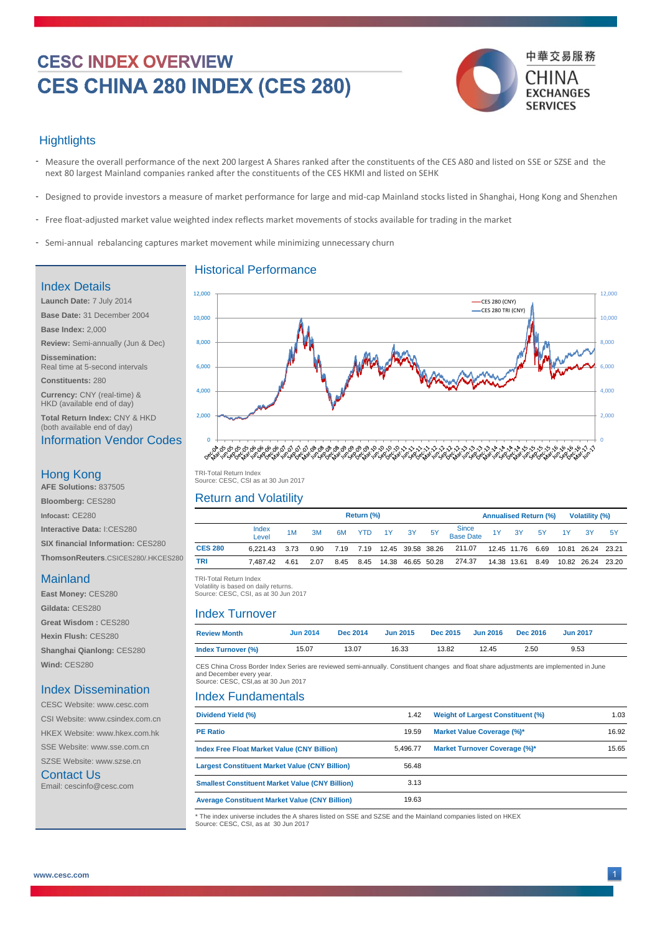# **CESC INDEX OVERVIEW** CES CHINA 280 INDEX (CES 280)



### **Hightlights**

- Measure the overall performance of the next 200 largest A Shares ranked after the constituents of the CES A80 and listed on SSE or SZSE and the next 80 largest Mainland companies ranked after the constituents of the CES HKMI and listed on SEHK -
- Designed to provide investors a measure of market performance for large and mid-cap Mainland stocks listed in Shanghai, Hong Kong and Shenzhen -
- Free float-adjusted market value weighted index reflects market movements of stocks available for trading in the market

Historical Performance

- Semi-annual rebalancing captures market movement while minimizing unnecessary churn

#### Index Details

**Launch Date:** 7 July 2014 **Base Date:** 31 December 2004 **Base Index:** 2,000 **Review:** Semi-annually (Jun & Dec) **Dissemination:**  Real time at 5-second intervals **Constituents:** 280

**Currency:** CNY (real-time) & HKD (available end of day)

**Total Return Index:** CNY & HKD (both available end of day)

#### Information Vendor Codes

#### Hong Kong

**AFE Solutions:** 837505 **Bloomberg:** CES280 **Infocast:** CE280 **Interactive Data:** I:CES280 **SIX financial Information:** CES280 **ThomsonReuters**.CSICES280/.HKCES280

#### Mainland

**East Money:** CES280 **Gildata:** CES280 **Great Wisdom :** CES280 **Hexin Flush:** CES280 **Shanghai Qianlong:** CES280 **Wind:** CES280

#### Index Dissemination

CESC Website: www.cesc.com CSI Website: www.csindex.com.cn HKEX Website: www.hkex.com.hk SSE Website: www.sse.com.cn

SZSE Website: www.szse.cn Contact Us

Email: cescinfo@cesc.com



 TRI -Total Return Index TRI-Total Return Index Source: CESC, CSI as at 30 Jun 2017

#### Return and Volatility

|                |                |      |      |    | Return (%) |                                  |       |           |                    | <b>Annualised Return (%)</b> |       | <b>Volatility (%)</b> |     |  |  |  |  |
|----------------|----------------|------|------|----|------------|----------------------------------|-------|-----------|--------------------|------------------------------|-------|-----------------------|-----|--|--|--|--|
|                | Index<br>Level | 1M   | 3M   | 6M | <b>YTD</b> | 1Y                               | $-3Y$ | <b>5Y</b> | Since<br>Base Date | 3Y 5Y                        | 1Y 3Y |                       | -5Y |  |  |  |  |
| <b>CES 280</b> | 6.221.43       | 3.73 |      |    |            | 0.90 7.19 7.19 12.45 39.58 38.26 |       |           | 211.07             | 12.45 11.76 6.69             |       | 10.81 26.24 23.21     |     |  |  |  |  |
| TRI            | 7.487.42       | 4.61 | 2.07 |    |            | 8.45 8.45 14.38 46.65 50.28      |       |           | 274.37             | 14.38 13.61 8.49             |       | 10.82 26.24 23.20     |     |  |  |  |  |
|                |                |      |      |    |            |                                  |       |           |                    |                              |       |                       |     |  |  |  |  |

TRI -Total Return Index TRI-Total Return Index

 Volatility is based on daily returns. Volatility is based on daily returns. Source: CESC, CSI, as at 30 Jun 2017

#### Index Turnover

| <b>Review Month</b> | <b>Jun 2014</b> | <b>Dec 2014</b> | <b>Jun 2015</b> | <b>Dec 2015</b> | <b>Jun 2016</b> | <b>Dec 2016</b> | <b>Jun 2017</b> |  |
|---------------------|-----------------|-----------------|-----------------|-----------------|-----------------|-----------------|-----------------|--|
| Index Turnover (%)  | 15.07           | 13.07           | 16.33           | 13.82           | 12.45           | 2.50            | 9.53            |  |

CES China Cross Border Index Series are reviewed semi-annually. Constituent changes and float share adjustments are implemented in June and December every year. Source: CESC, CSI,as at 30 Jun 2017

#### Index Fundamentals

| Dividend Yield (%)                                     | 1.42     | <b>Weight of Largest Constituent (%)</b> | 1.03  |
|--------------------------------------------------------|----------|------------------------------------------|-------|
| <b>PE Ratio</b>                                        | 19.59    | Market Value Coverage (%)*               | 16.92 |
| <b>Index Free Float Market Value (CNY Billion)</b>     | 5.496.77 | Market Turnover Coverage (%)*            | 15.65 |
| <b>Largest Constituent Market Value (CNY Billion)</b>  | 56.48    |                                          |       |
| <b>Smallest Constituent Market Value (CNY Billion)</b> | 3.13     |                                          |       |
| <b>Average Constituent Market Value (CNY Billion)</b>  | 19.63    |                                          |       |

\* The index universe includes the A shares listed on SSE and SZSE and the Mainland companies listed on HKEX Source: CESC, CSI, as at 30 Jun 2017